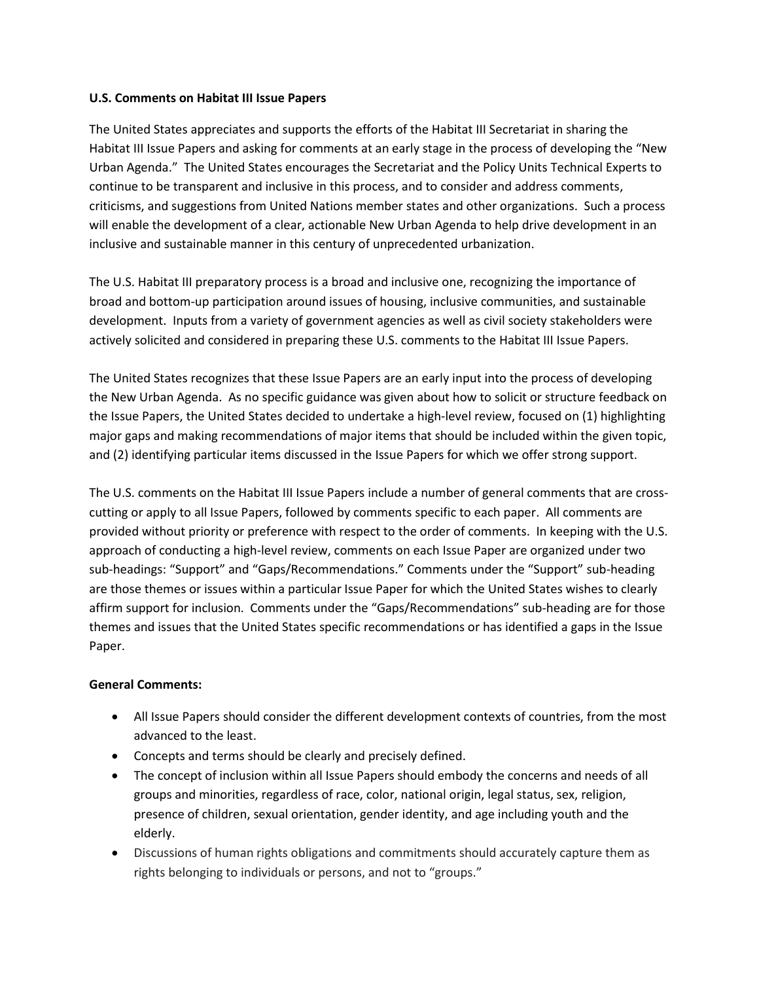## **U.S. Comments on Habitat III Issue Papers**

The United States appreciates and supports the efforts of the Habitat III Secretariat in sharing the Habitat III Issue Papers and asking for comments at an early stage in the process of developing the "New Urban Agenda." The United States encourages the Secretariat and the Policy Units Technical Experts to continue to be transparent and inclusive in this process, and to consider and address comments, criticisms, and suggestions from United Nations member states and other organizations. Such a process will enable the development of a clear, actionable New Urban Agenda to help drive development in an inclusive and sustainable manner in this century of unprecedented urbanization.

The U.S. Habitat III preparatory process is a broad and inclusive one, recognizing the importance of broad and bottom-up participation around issues of housing, inclusive communities, and sustainable development. Inputs from a variety of government agencies as well as civil society stakeholders were actively solicited and considered in preparing these U.S. comments to the Habitat III Issue Papers.

The United States recognizes that these Issue Papers are an early input into the process of developing the New Urban Agenda. As no specific guidance was given about how to solicit or structure feedback on the Issue Papers, the United States decided to undertake a high-level review, focused on (1) highlighting major gaps and making recommendations of major items that should be included within the given topic, and (2) identifying particular items discussed in the Issue Papers for which we offer strong support.

The U.S. comments on the Habitat III Issue Papers include a number of general comments that are crosscutting or apply to all Issue Papers, followed by comments specific to each paper. All comments are provided without priority or preference with respect to the order of comments. In keeping with the U.S. approach of conducting a high-level review, comments on each Issue Paper are organized under two sub-headings: "Support" and "Gaps/Recommendations." Comments under the "Support" sub-heading are those themes or issues within a particular Issue Paper for which the United States wishes to clearly affirm support for inclusion. Comments under the "Gaps/Recommendations" sub-heading are for those themes and issues that the United States specific recommendations or has identified a gaps in the Issue Paper.

## **General Comments:**

- All Issue Papers should consider the different development contexts of countries, from the most advanced to the least.
- Concepts and terms should be clearly and precisely defined.
- The concept of inclusion within all Issue Papers should embody the concerns and needs of all groups and minorities, regardless of race, color, national origin, legal status, sex, religion, presence of children, sexual orientation, gender identity, and age including youth and the elderly.
- Discussions of human rights obligations and commitments should accurately capture them as rights belonging to individuals or persons, and not to "groups."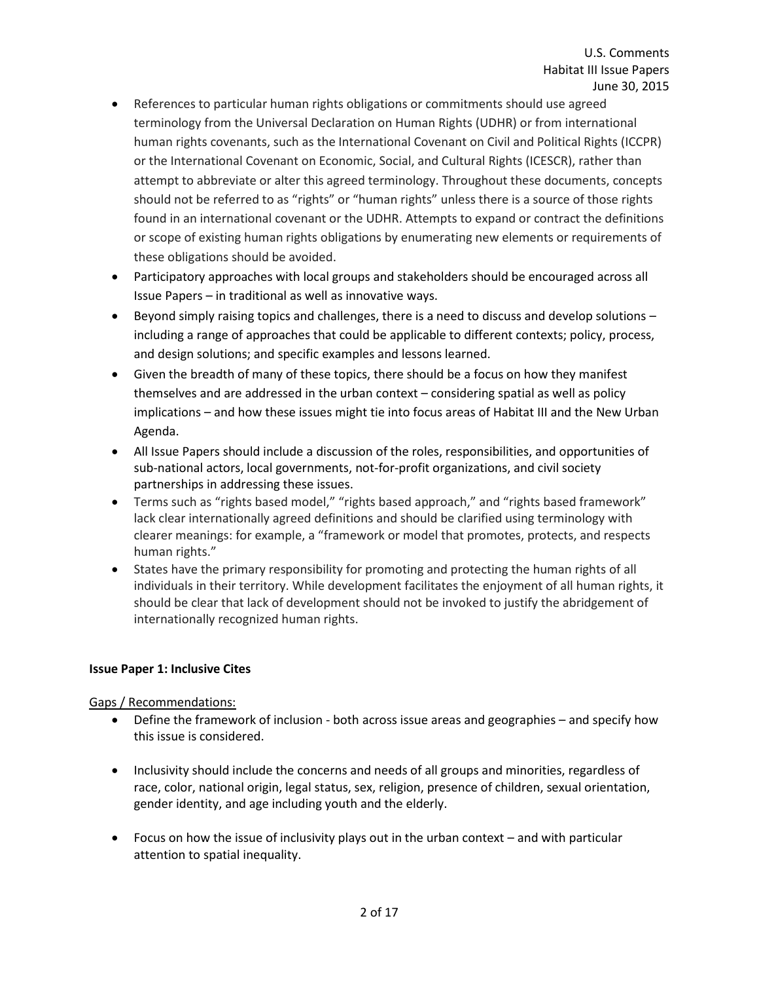- References to particular human rights obligations or commitments should use agreed terminology from the Universal Declaration on Human Rights (UDHR) or from international human rights covenants, such as the International Covenant on Civil and Political Rights (ICCPR) or the International Covenant on Economic, Social, and Cultural Rights (ICESCR), rather than attempt to abbreviate or alter this agreed terminology. Throughout these documents, concepts should not be referred to as "rights" or "human rights" unless there is a source of those rights found in an international covenant or the UDHR. Attempts to expand or contract the definitions or scope of existing human rights obligations by enumerating new elements or requirements of these obligations should be avoided.
- Participatory approaches with local groups and stakeholders should be encouraged across all Issue Papers – in traditional as well as innovative ways.
- $\bullet$  Beyond simply raising topics and challenges, there is a need to discuss and develop solutions  $$ including a range of approaches that could be applicable to different contexts; policy, process, and design solutions; and specific examples and lessons learned.
- Given the breadth of many of these topics, there should be a focus on how they manifest themselves and are addressed in the urban context – considering spatial as well as policy implications – and how these issues might tie into focus areas of Habitat III and the New Urban Agenda.
- All Issue Papers should include a discussion of the roles, responsibilities, and opportunities of sub-national actors, local governments, not-for-profit organizations, and civil society partnerships in addressing these issues.
- Terms such as "rights based model," "rights based approach," and "rights based framework" lack clear internationally agreed definitions and should be clarified using terminology with clearer meanings: for example, a "framework or model that promotes, protects, and respects human rights."
- States have the primary responsibility for promoting and protecting the human rights of all individuals in their territory. While development facilitates the enjoyment of all human rights, it should be clear that lack of development should not be invoked to justify the abridgement of internationally recognized human rights.

# **Issue Paper 1: Inclusive Cites**

- Define the framework of inclusion both across issue areas and geographies and specify how this issue is considered.
- Inclusivity should include the concerns and needs of all groups and minorities, regardless of race, color, national origin, legal status, sex, religion, presence of children, sexual orientation, gender identity, and age including youth and the elderly.
- Focus on how the issue of inclusivity plays out in the urban context and with particular attention to spatial inequality.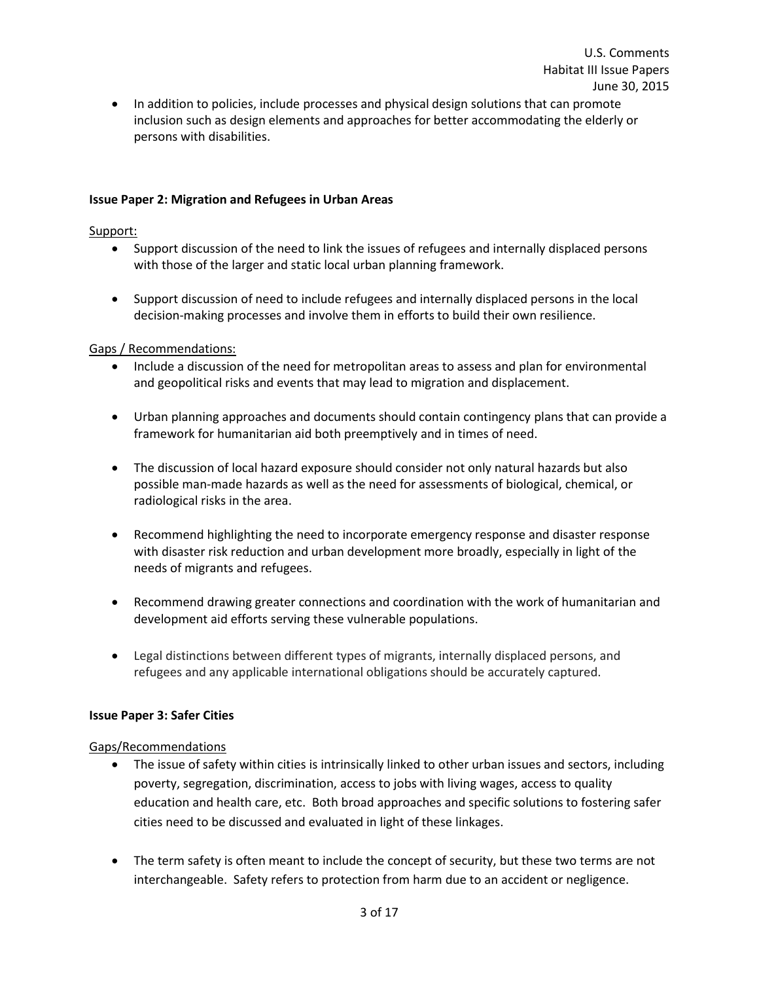• In addition to policies, include processes and physical design solutions that can promote inclusion such as design elements and approaches for better accommodating the elderly or persons with disabilities.

## **Issue Paper 2: Migration and Refugees in Urban Areas**

#### Support:

- Support discussion of the need to link the issues of refugees and internally displaced persons with those of the larger and static local urban planning framework.
- Support discussion of need to include refugees and internally displaced persons in the local decision-making processes and involve them in efforts to build their own resilience.

#### Gaps / Recommendations:

- Include a discussion of the need for metropolitan areas to assess and plan for environmental and geopolitical risks and events that may lead to migration and displacement.
- Urban planning approaches and documents should contain contingency plans that can provide a framework for humanitarian aid both preemptively and in times of need.
- The discussion of local hazard exposure should consider not only natural hazards but also possible man-made hazards as well as the need for assessments of biological, chemical, or radiological risks in the area.
- Recommend highlighting the need to incorporate emergency response and disaster response with disaster risk reduction and urban development more broadly, especially in light of the needs of migrants and refugees.
- Recommend drawing greater connections and coordination with the work of humanitarian and development aid efforts serving these vulnerable populations.
- Legal distinctions between different types of migrants, internally displaced persons, and refugees and any applicable international obligations should be accurately captured.

#### **Issue Paper 3: Safer Cities**

- The issue of safety within cities is intrinsically linked to other urban issues and sectors, including poverty, segregation, discrimination, access to jobs with living wages, access to quality education and health care, etc. Both broad approaches and specific solutions to fostering safer cities need to be discussed and evaluated in light of these linkages.
- The term safety is often meant to include the concept of security, but these two terms are not interchangeable. Safety refers to protection from harm due to an accident or negligence.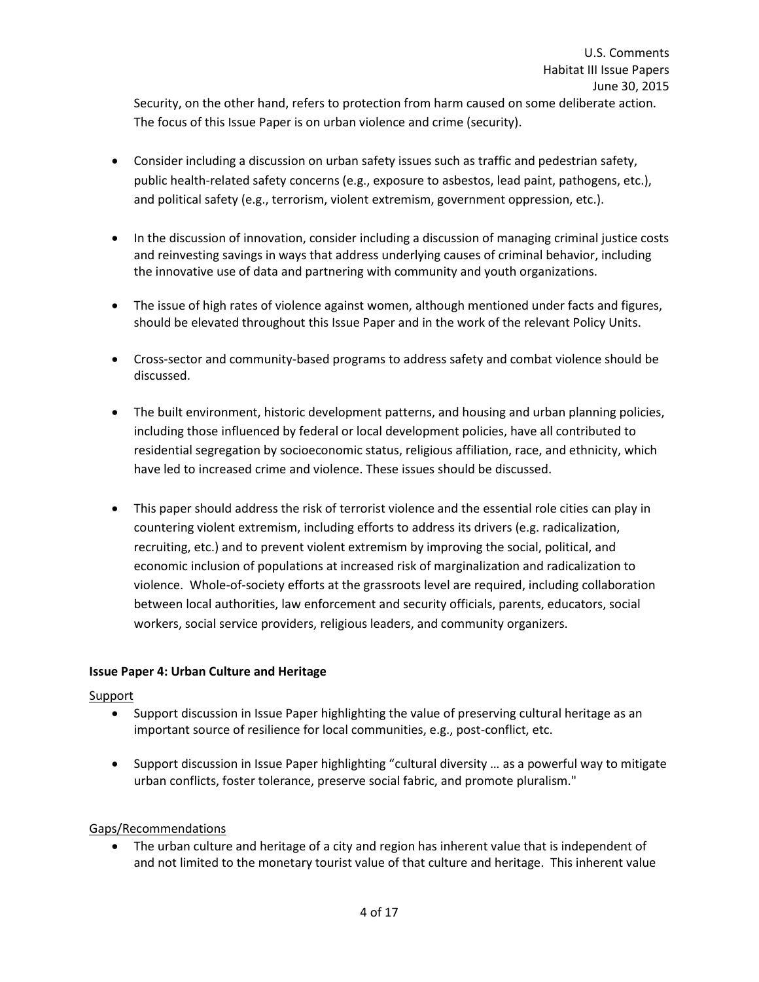Security, on the other hand, refers to protection from harm caused on some deliberate action. The focus of this Issue Paper is on urban violence and crime (security).

- Consider including a discussion on urban safety issues such as traffic and pedestrian safety, public health-related safety concerns (e.g., exposure to asbestos, lead paint, pathogens, etc.), and political safety (e.g., terrorism, violent extremism, government oppression, etc.).
- In the discussion of innovation, consider including a discussion of managing criminal justice costs and reinvesting savings in ways that address underlying causes of criminal behavior, including the innovative use of data and partnering with community and youth organizations.
- The issue of high rates of violence against women, although mentioned under facts and figures, should be elevated throughout this Issue Paper and in the work of the relevant Policy Units.
- Cross-sector and community-based programs to address safety and combat violence should be discussed.
- The built environment, historic development patterns, and housing and urban planning policies, including those influenced by federal or local development policies, have all contributed to residential segregation by socioeconomic status, religious affiliation, race, and ethnicity, which have led to increased crime and violence. These issues should be discussed.
- This paper should address the risk of terrorist violence and the essential role cities can play in countering violent extremism, including efforts to address its drivers (e.g. radicalization, recruiting, etc.) and to prevent violent extremism by improving the social, political, and economic inclusion of populations at increased risk of marginalization and radicalization to violence. Whole-of-society efforts at the grassroots level are required, including collaboration between local authorities, law enforcement and security officials, parents, educators, social workers, social service providers, religious leaders, and community organizers.

# **Issue Paper 4: Urban Culture and Heritage**

## Support

- Support discussion in Issue Paper highlighting the value of preserving cultural heritage as an important source of resilience for local communities, e.g., post-conflict, etc.
- Support discussion in Issue Paper highlighting "cultural diversity … as a powerful way to mitigate urban conflicts, foster tolerance, preserve social fabric, and promote pluralism."

# Gaps/Recommendations

 The urban culture and heritage of a city and region has inherent value that is independent of and not limited to the monetary tourist value of that culture and heritage. This inherent value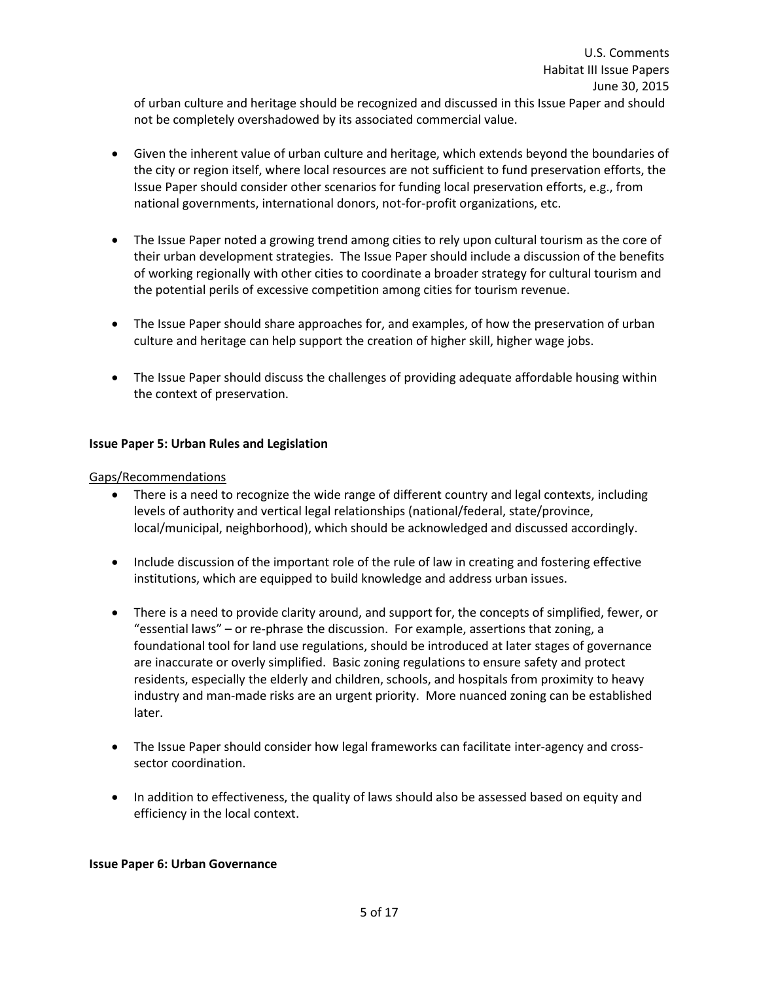of urban culture and heritage should be recognized and discussed in this Issue Paper and should not be completely overshadowed by its associated commercial value.

- Given the inherent value of urban culture and heritage, which extends beyond the boundaries of the city or region itself, where local resources are not sufficient to fund preservation efforts, the Issue Paper should consider other scenarios for funding local preservation efforts, e.g., from national governments, international donors, not-for-profit organizations, etc.
- The Issue Paper noted a growing trend among cities to rely upon cultural tourism as the core of their urban development strategies. The Issue Paper should include a discussion of the benefits of working regionally with other cities to coordinate a broader strategy for cultural tourism and the potential perils of excessive competition among cities for tourism revenue.
- The Issue Paper should share approaches for, and examples, of how the preservation of urban culture and heritage can help support the creation of higher skill, higher wage jobs.
- The Issue Paper should discuss the challenges of providing adequate affordable housing within the context of preservation.

## **Issue Paper 5: Urban Rules and Legislation**

#### Gaps/Recommendations

- There is a need to recognize the wide range of different country and legal contexts, including levels of authority and vertical legal relationships (national/federal, state/province, local/municipal, neighborhood), which should be acknowledged and discussed accordingly.
- Include discussion of the important role of the rule of law in creating and fostering effective institutions, which are equipped to build knowledge and address urban issues.
- There is a need to provide clarity around, and support for, the concepts of simplified, fewer, or "essential laws" – or re-phrase the discussion. For example, assertions that zoning, a foundational tool for land use regulations, should be introduced at later stages of governance are inaccurate or overly simplified. Basic zoning regulations to ensure safety and protect residents, especially the elderly and children, schools, and hospitals from proximity to heavy industry and man-made risks are an urgent priority. More nuanced zoning can be established later.
- The Issue Paper should consider how legal frameworks can facilitate inter-agency and crosssector coordination.
- In addition to effectiveness, the quality of laws should also be assessed based on equity and efficiency in the local context.

#### **Issue Paper 6: Urban Governance**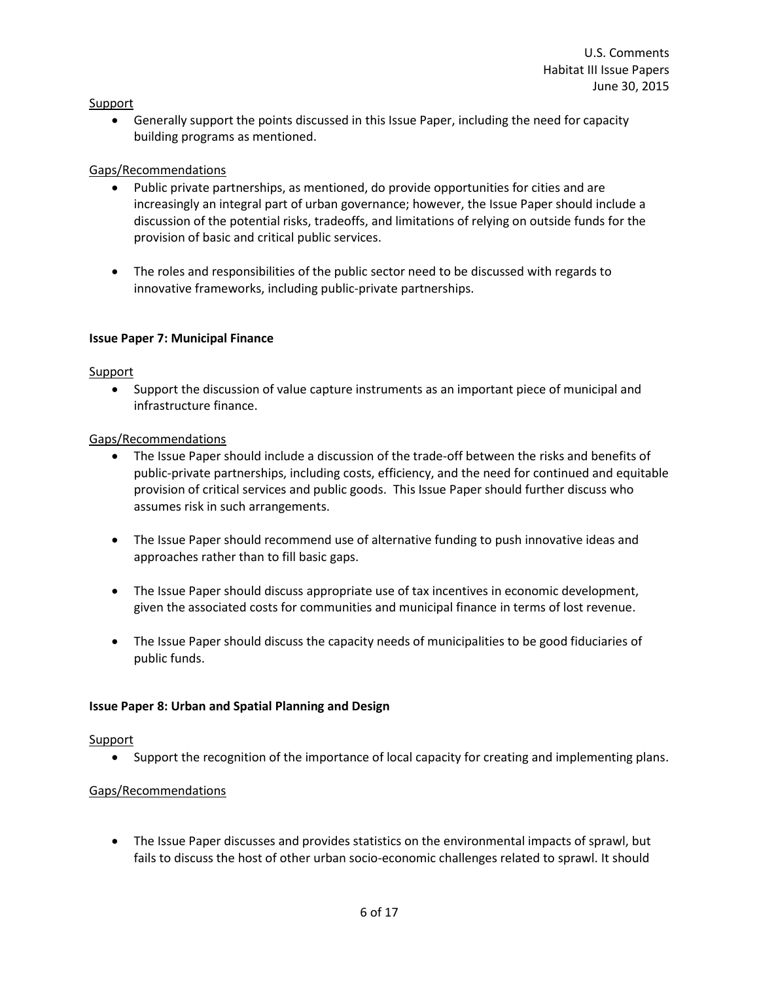#### Support

 Generally support the points discussed in this Issue Paper, including the need for capacity building programs as mentioned.

## Gaps/Recommendations

- Public private partnerships, as mentioned, do provide opportunities for cities and are increasingly an integral part of urban governance; however, the Issue Paper should include a discussion of the potential risks, tradeoffs, and limitations of relying on outside funds for the provision of basic and critical public services.
- The roles and responsibilities of the public sector need to be discussed with regards to innovative frameworks, including public-private partnerships.

## **Issue Paper 7: Municipal Finance**

## Support

 Support the discussion of value capture instruments as an important piece of municipal and infrastructure finance.

## Gaps/Recommendations

- The Issue Paper should include a discussion of the trade-off between the risks and benefits of public-private partnerships, including costs, efficiency, and the need for continued and equitable provision of critical services and public goods. This Issue Paper should further discuss who assumes risk in such arrangements.
- The Issue Paper should recommend use of alternative funding to push innovative ideas and approaches rather than to fill basic gaps.
- The Issue Paper should discuss appropriate use of tax incentives in economic development, given the associated costs for communities and municipal finance in terms of lost revenue.
- The Issue Paper should discuss the capacity needs of municipalities to be good fiduciaries of public funds.

## **Issue Paper 8: Urban and Spatial Planning and Design**

## Support

Support the recognition of the importance of local capacity for creating and implementing plans.

# Gaps/Recommendations

 The Issue Paper discusses and provides statistics on the environmental impacts of sprawl, but fails to discuss the host of other urban socio-economic challenges related to sprawl. It should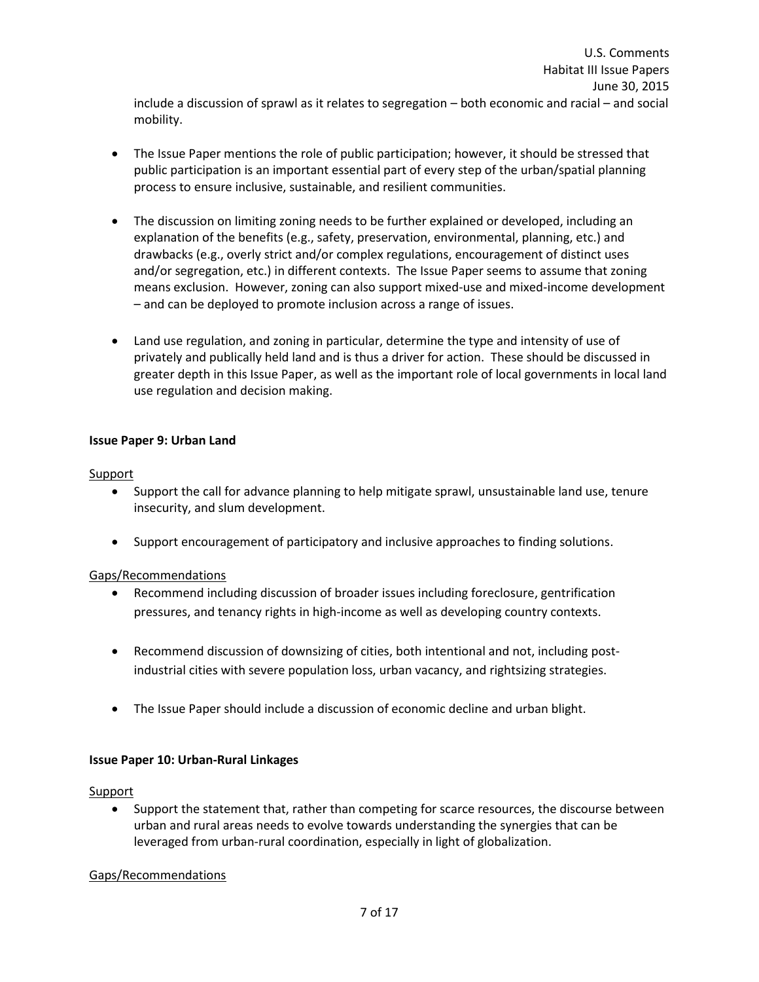- The Issue Paper mentions the role of public participation; however, it should be stressed that public participation is an important essential part of every step of the urban/spatial planning process to ensure inclusive, sustainable, and resilient communities.
- The discussion on limiting zoning needs to be further explained or developed, including an explanation of the benefits (e.g., safety, preservation, environmental, planning, etc.) and drawbacks (e.g., overly strict and/or complex regulations, encouragement of distinct uses and/or segregation, etc.) in different contexts. The Issue Paper seems to assume that zoning means exclusion. However, zoning can also support mixed-use and mixed-income development – and can be deployed to promote inclusion across a range of issues.
- Land use regulation, and zoning in particular, determine the type and intensity of use of privately and publically held land and is thus a driver for action. These should be discussed in greater depth in this Issue Paper, as well as the important role of local governments in local land use regulation and decision making.

## **Issue Paper 9: Urban Land**

Support

- Support the call for advance planning to help mitigate sprawl, unsustainable land use, tenure insecurity, and slum development.
- Support encouragement of participatory and inclusive approaches to finding solutions.

# Gaps/Recommendations

- Recommend including discussion of broader issues including foreclosure, gentrification pressures, and tenancy rights in high-income as well as developing country contexts.
- Recommend discussion of downsizing of cities, both intentional and not, including postindustrial cities with severe population loss, urban vacancy, and rightsizing strategies.
- The Issue Paper should include a discussion of economic decline and urban blight.

# **Issue Paper 10: Urban-Rural Linkages**

## **Support**

• Support the statement that, rather than competing for scarce resources, the discourse between urban and rural areas needs to evolve towards understanding the synergies that can be leveraged from urban-rural coordination, especially in light of globalization.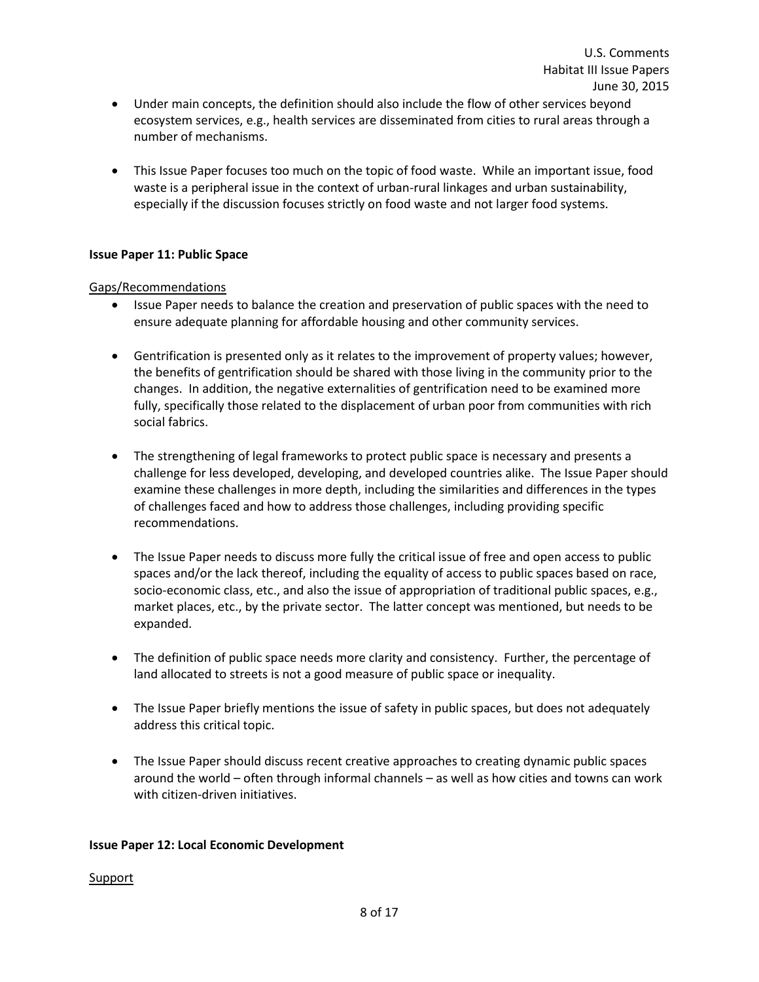- Under main concepts, the definition should also include the flow of other services beyond ecosystem services, e.g., health services are disseminated from cities to rural areas through a number of mechanisms.
- This Issue Paper focuses too much on the topic of food waste. While an important issue, food waste is a peripheral issue in the context of urban-rural linkages and urban sustainability, especially if the discussion focuses strictly on food waste and not larger food systems.

## **Issue Paper 11: Public Space**

#### Gaps/Recommendations

- Issue Paper needs to balance the creation and preservation of public spaces with the need to ensure adequate planning for affordable housing and other community services.
- Gentrification is presented only as it relates to the improvement of property values; however, the benefits of gentrification should be shared with those living in the community prior to the changes. In addition, the negative externalities of gentrification need to be examined more fully, specifically those related to the displacement of urban poor from communities with rich social fabrics.
- The strengthening of legal frameworks to protect public space is necessary and presents a challenge for less developed, developing, and developed countries alike. The Issue Paper should examine these challenges in more depth, including the similarities and differences in the types of challenges faced and how to address those challenges, including providing specific recommendations.
- The Issue Paper needs to discuss more fully the critical issue of free and open access to public spaces and/or the lack thereof, including the equality of access to public spaces based on race, socio-economic class, etc., and also the issue of appropriation of traditional public spaces, e.g., market places, etc., by the private sector. The latter concept was mentioned, but needs to be expanded.
- The definition of public space needs more clarity and consistency. Further, the percentage of land allocated to streets is not a good measure of public space or inequality.
- The Issue Paper briefly mentions the issue of safety in public spaces, but does not adequately address this critical topic.
- The Issue Paper should discuss recent creative approaches to creating dynamic public spaces around the world – often through informal channels – as well as how cities and towns can work with citizen-driven initiatives.

#### **Issue Paper 12: Local Economic Development**

## **Support**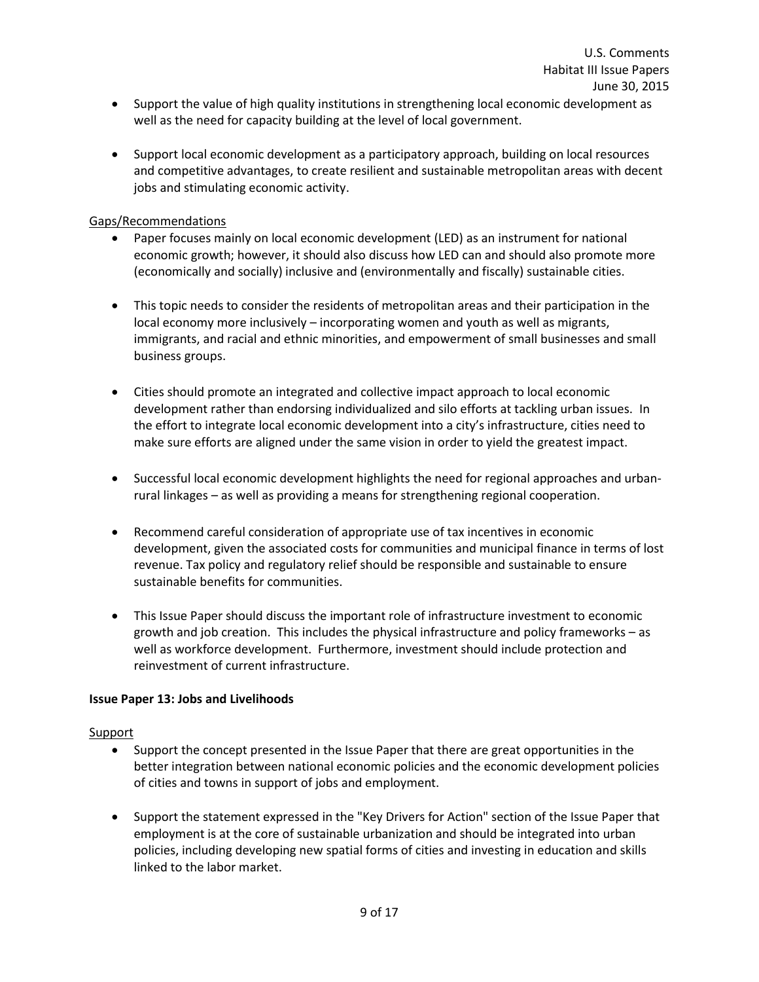- Support the value of high quality institutions in strengthening local economic development as well as the need for capacity building at the level of local government.
- Support local economic development as a participatory approach, building on local resources and competitive advantages, to create resilient and sustainable metropolitan areas with decent jobs and stimulating economic activity.

## Gaps/Recommendations

- Paper focuses mainly on local economic development (LED) as an instrument for national economic growth; however, it should also discuss how LED can and should also promote more (economically and socially) inclusive and (environmentally and fiscally) sustainable cities.
- This topic needs to consider the residents of metropolitan areas and their participation in the local economy more inclusively – incorporating women and youth as well as migrants, immigrants, and racial and ethnic minorities, and empowerment of small businesses and small business groups.
- Cities should promote an integrated and collective impact approach to local economic development rather than endorsing individualized and silo efforts at tackling urban issues. In the effort to integrate local economic development into a city's infrastructure, cities need to make sure efforts are aligned under the same vision in order to yield the greatest impact.
- Successful local economic development highlights the need for regional approaches and urbanrural linkages – as well as providing a means for strengthening regional cooperation.
- Recommend careful consideration of appropriate use of tax incentives in economic development, given the associated costs for communities and municipal finance in terms of lost revenue. Tax policy and regulatory relief should be responsible and sustainable to ensure sustainable benefits for communities.
- This Issue Paper should discuss the important role of infrastructure investment to economic growth and job creation. This includes the physical infrastructure and policy frameworks – as well as workforce development. Furthermore, investment should include protection and reinvestment of current infrastructure.

## **Issue Paper 13: Jobs and Livelihoods**

## Support

- Support the concept presented in the Issue Paper that there are great opportunities in the better integration between national economic policies and the economic development policies of cities and towns in support of jobs and employment.
- Support the statement expressed in the "Key Drivers for Action" section of the Issue Paper that employment is at the core of sustainable urbanization and should be integrated into urban policies, including developing new spatial forms of cities and investing in education and skills linked to the labor market.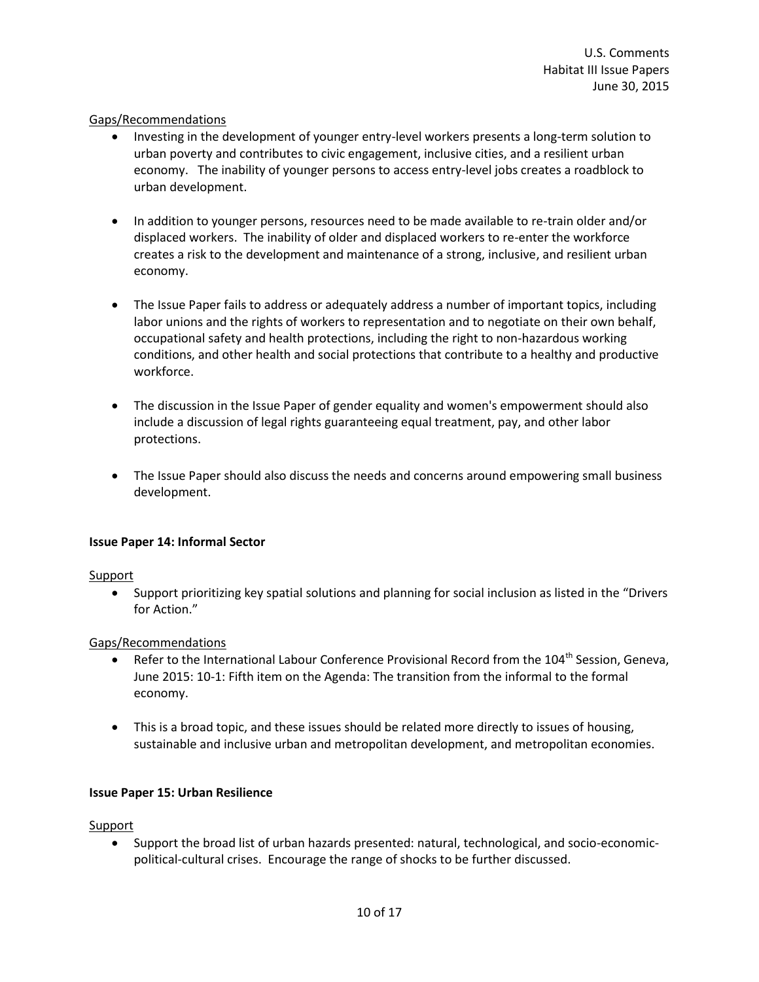## Gaps/Recommendations

- Investing in the development of younger entry-level workers presents a long-term solution to urban poverty and contributes to civic engagement, inclusive cities, and a resilient urban economy. The inability of younger persons to access entry-level jobs creates a roadblock to urban development.
- In addition to younger persons, resources need to be made available to re-train older and/or displaced workers. The inability of older and displaced workers to re-enter the workforce creates a risk to the development and maintenance of a strong, inclusive, and resilient urban economy.
- The Issue Paper fails to address or adequately address a number of important topics, including labor unions and the rights of workers to representation and to negotiate on their own behalf, occupational safety and health protections, including the right to non-hazardous working conditions, and other health and social protections that contribute to a healthy and productive workforce.
- The discussion in the Issue Paper of gender equality and women's empowerment should also include a discussion of legal rights guaranteeing equal treatment, pay, and other labor protections.
- The Issue Paper should also discuss the needs and concerns around empowering small business development.

## **Issue Paper 14: Informal Sector**

## Support

 Support prioritizing key spatial solutions and planning for social inclusion as listed in the "Drivers for Action."

# Gaps/Recommendations

- **•** Refer to the International Labour Conference Provisional Record from the 104<sup>th</sup> Session, Geneva, June 2015: 10-1: Fifth item on the Agenda: The transition from the informal to the formal economy.
- This is a broad topic, and these issues should be related more directly to issues of housing, sustainable and inclusive urban and metropolitan development, and metropolitan economies.

## **Issue Paper 15: Urban Resilience**

## Support

 Support the broad list of urban hazards presented: natural, technological, and socio-economicpolitical-cultural crises. Encourage the range of shocks to be further discussed.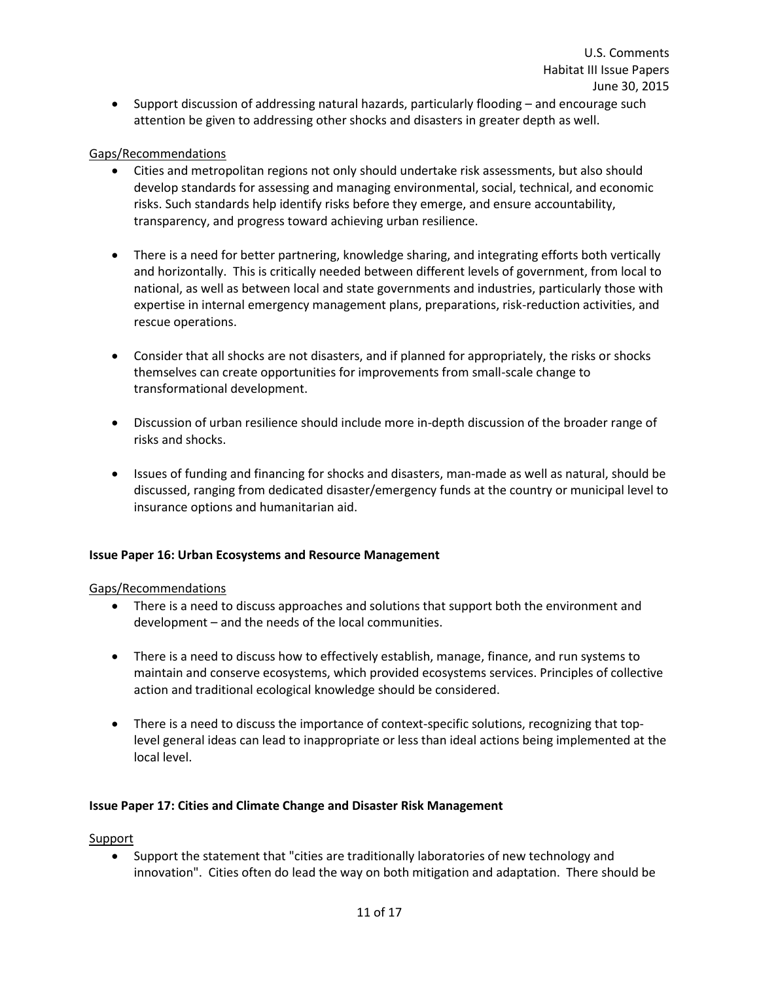Support discussion of addressing natural hazards, particularly flooding – and encourage such attention be given to addressing other shocks and disasters in greater depth as well.

#### Gaps/Recommendations

- Cities and metropolitan regions not only should undertake risk assessments, but also should develop standards for assessing and managing environmental, social, technical, and economic risks. Such standards help identify risks before they emerge, and ensure accountability, transparency, and progress toward achieving urban resilience.
- There is a need for better partnering, knowledge sharing, and integrating efforts both vertically and horizontally. This is critically needed between different levels of government, from local to national, as well as between local and state governments and industries, particularly those with expertise in internal emergency management plans, preparations, risk-reduction activities, and rescue operations.
- Consider that all shocks are not disasters, and if planned for appropriately, the risks or shocks themselves can create opportunities for improvements from small-scale change to transformational development.
- Discussion of urban resilience should include more in-depth discussion of the broader range of risks and shocks.
- Issues of funding and financing for shocks and disasters, man-made as well as natural, should be discussed, ranging from dedicated disaster/emergency funds at the country or municipal level to insurance options and humanitarian aid.

#### **Issue Paper 16: Urban Ecosystems and Resource Management**

#### Gaps/Recommendations

- There is a need to discuss approaches and solutions that support both the environment and development – and the needs of the local communities.
- There is a need to discuss how to effectively establish, manage, finance, and run systems to maintain and conserve ecosystems, which provided ecosystems services. Principles of collective action and traditional ecological knowledge should be considered.
- There is a need to discuss the importance of context-specific solutions, recognizing that toplevel general ideas can lead to inappropriate or less than ideal actions being implemented at the local level.

#### **Issue Paper 17: Cities and Climate Change and Disaster Risk Management**

#### **Support**

 Support the statement that "cities are traditionally laboratories of new technology and innovation". Cities often do lead the way on both mitigation and adaptation. There should be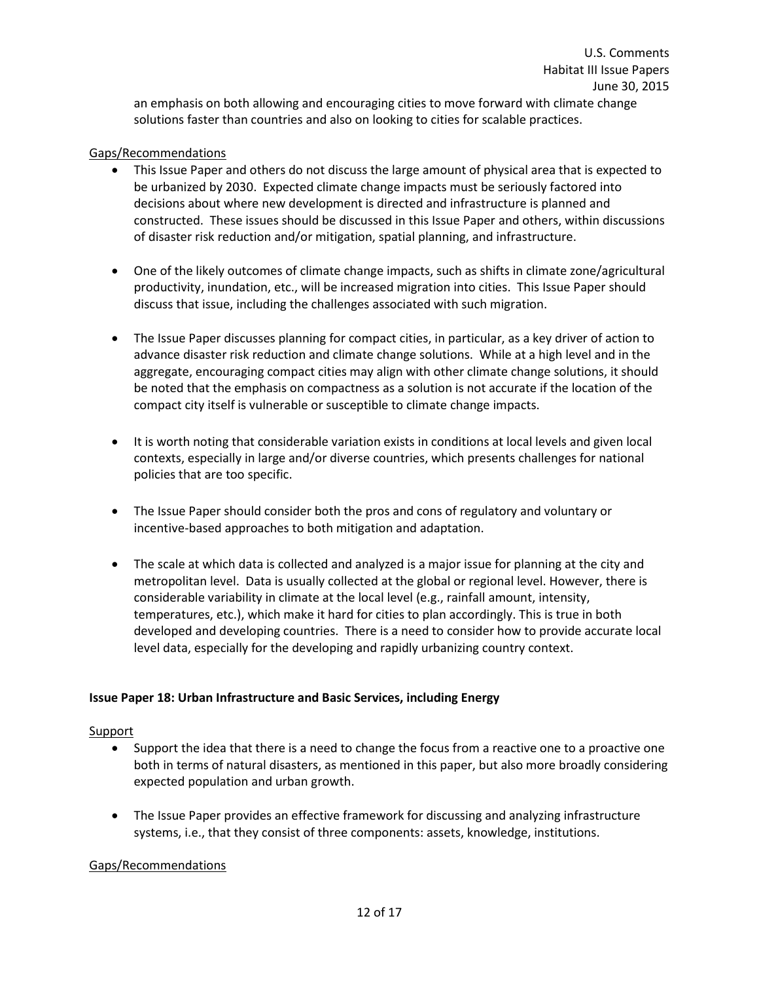an emphasis on both allowing and encouraging cities to move forward with climate change solutions faster than countries and also on looking to cities for scalable practices.

#### Gaps/Recommendations

- This Issue Paper and others do not discuss the large amount of physical area that is expected to be urbanized by 2030. Expected climate change impacts must be seriously factored into decisions about where new development is directed and infrastructure is planned and constructed. These issues should be discussed in this Issue Paper and others, within discussions of disaster risk reduction and/or mitigation, spatial planning, and infrastructure.
- One of the likely outcomes of climate change impacts, such as shifts in climate zone/agricultural productivity, inundation, etc., will be increased migration into cities. This Issue Paper should discuss that issue, including the challenges associated with such migration.
- The Issue Paper discusses planning for compact cities, in particular, as a key driver of action to advance disaster risk reduction and climate change solutions. While at a high level and in the aggregate, encouraging compact cities may align with other climate change solutions, it should be noted that the emphasis on compactness as a solution is not accurate if the location of the compact city itself is vulnerable or susceptible to climate change impacts.
- It is worth noting that considerable variation exists in conditions at local levels and given local contexts, especially in large and/or diverse countries, which presents challenges for national policies that are too specific.
- The Issue Paper should consider both the pros and cons of regulatory and voluntary or incentive-based approaches to both mitigation and adaptation.
- The scale at which data is collected and analyzed is a major issue for planning at the city and metropolitan level. Data is usually collected at the global or regional level. However, there is considerable variability in climate at the local level (e.g., rainfall amount, intensity, temperatures, etc.), which make it hard for cities to plan accordingly. This is true in both developed and developing countries. There is a need to consider how to provide accurate local level data, especially for the developing and rapidly urbanizing country context.

#### **Issue Paper 18: Urban Infrastructure and Basic Services, including Energy**

#### **Support**

- Support the idea that there is a need to change the focus from a reactive one to a proactive one both in terms of natural disasters, as mentioned in this paper, but also more broadly considering expected population and urban growth.
- The Issue Paper provides an effective framework for discussing and analyzing infrastructure systems, i.e., that they consist of three components: assets, knowledge, institutions.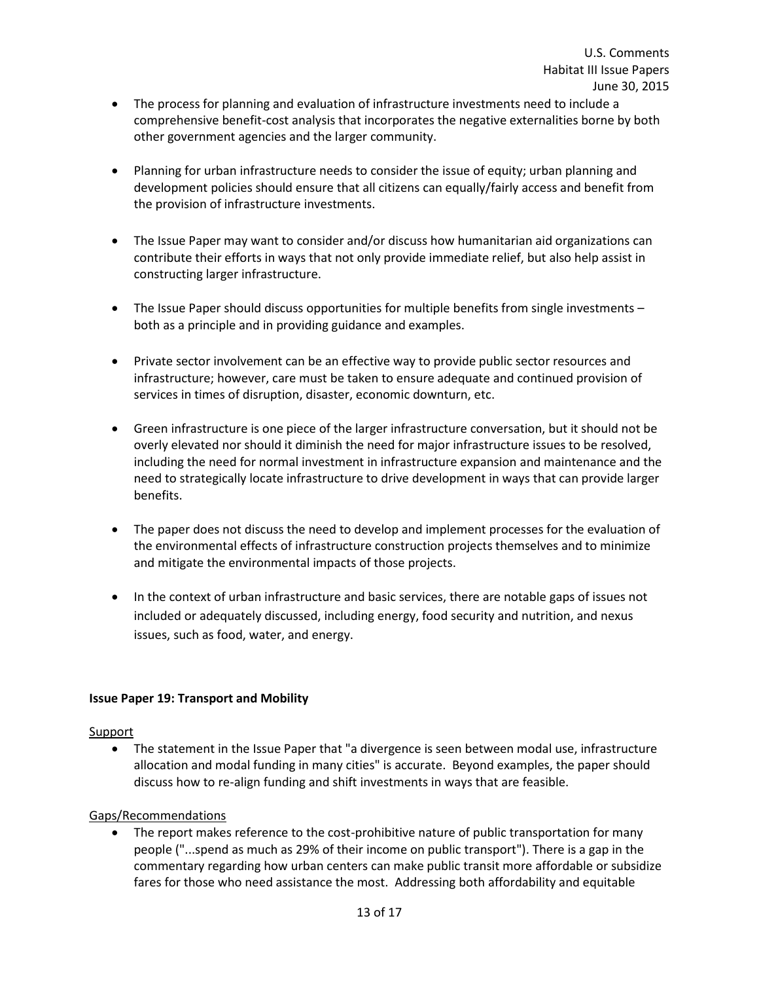- The process for planning and evaluation of infrastructure investments need to include a comprehensive benefit-cost analysis that incorporates the negative externalities borne by both other government agencies and the larger community.
- Planning for urban infrastructure needs to consider the issue of equity; urban planning and development policies should ensure that all citizens can equally/fairly access and benefit from the provision of infrastructure investments.
- The Issue Paper may want to consider and/or discuss how humanitarian aid organizations can contribute their efforts in ways that not only provide immediate relief, but also help assist in constructing larger infrastructure.
- The Issue Paper should discuss opportunities for multiple benefits from single investments both as a principle and in providing guidance and examples.
- Private sector involvement can be an effective way to provide public sector resources and infrastructure; however, care must be taken to ensure adequate and continued provision of services in times of disruption, disaster, economic downturn, etc.
- Green infrastructure is one piece of the larger infrastructure conversation, but it should not be overly elevated nor should it diminish the need for major infrastructure issues to be resolved, including the need for normal investment in infrastructure expansion and maintenance and the need to strategically locate infrastructure to drive development in ways that can provide larger benefits.
- The paper does not discuss the need to develop and implement processes for the evaluation of the environmental effects of infrastructure construction projects themselves and to minimize and mitigate the environmental impacts of those projects.
- In the context of urban infrastructure and basic services, there are notable gaps of issues not included or adequately discussed, including energy, food security and nutrition, and nexus issues, such as food, water, and energy.

## **Issue Paper 19: Transport and Mobility**

## Support

• The statement in the Issue Paper that "a divergence is seen between modal use, infrastructure allocation and modal funding in many cities" is accurate. Beyond examples, the paper should discuss how to re-align funding and shift investments in ways that are feasible.

# Gaps/Recommendations

• The report makes reference to the cost-prohibitive nature of public transportation for many people ("...spend as much as 29% of their income on public transport"). There is a gap in the commentary regarding how urban centers can make public transit more affordable or subsidize fares for those who need assistance the most. Addressing both affordability and equitable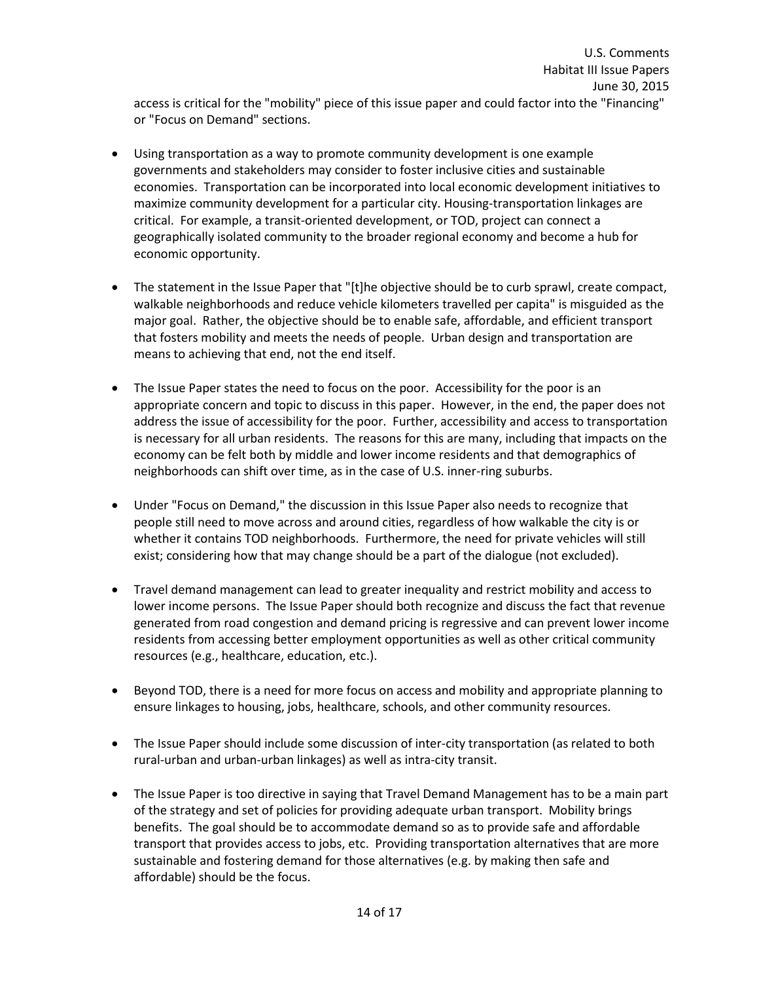access is critical for the "mobility" piece of this issue paper and could factor into the "Financing" or "Focus on Demand" sections.

- Using transportation as a way to promote community development is one example governments and stakeholders may consider to foster inclusive cities and sustainable economies. Transportation can be incorporated into local economic development initiatives to maximize community development for a particular city. Housing-transportation linkages are critical. For example, a transit-oriented development, or TOD, project can connect a geographically isolated community to the broader regional economy and become a hub for economic opportunity.
- The statement in the Issue Paper that "[t]he objective should be to curb sprawl, create compact, walkable neighborhoods and reduce vehicle kilometers travelled per capita" is misguided as the major goal. Rather, the objective should be to enable safe, affordable, and efficient transport that fosters mobility and meets the needs of people. Urban design and transportation are means to achieving that end, not the end itself.
- The Issue Paper states the need to focus on the poor. Accessibility for the poor is an appropriate concern and topic to discuss in this paper. However, in the end, the paper does not address the issue of accessibility for the poor. Further, accessibility and access to transportation is necessary for all urban residents. The reasons for this are many, including that impacts on the economy can be felt both by middle and lower income residents and that demographics of neighborhoods can shift over time, as in the case of U.S. inner-ring suburbs.
- Under "Focus on Demand," the discussion in this Issue Paper also needs to recognize that people still need to move across and around cities, regardless of how walkable the city is or whether it contains TOD neighborhoods. Furthermore, the need for private vehicles will still exist; considering how that may change should be a part of the dialogue (not excluded).
- Travel demand management can lead to greater inequality and restrict mobility and access to lower income persons. The Issue Paper should both recognize and discuss the fact that revenue generated from road congestion and demand pricing is regressive and can prevent lower income residents from accessing better employment opportunities as well as other critical community resources (e.g., healthcare, education, etc.).
- Beyond TOD, there is a need for more focus on access and mobility and appropriate planning to ensure linkages to housing, jobs, healthcare, schools, and other community resources.
- The Issue Paper should include some discussion of inter-city transportation (as related to both rural-urban and urban-urban linkages) as well as intra-city transit.
- The Issue Paper is too directive in saying that Travel Demand Management has to be a main part of the strategy and set of policies for providing adequate urban transport. Mobility brings benefits. The goal should be to accommodate demand so as to provide safe and affordable transport that provides access to jobs, etc. Providing transportation alternatives that are more sustainable and fostering demand for those alternatives (e.g. by making then safe and affordable) should be the focus.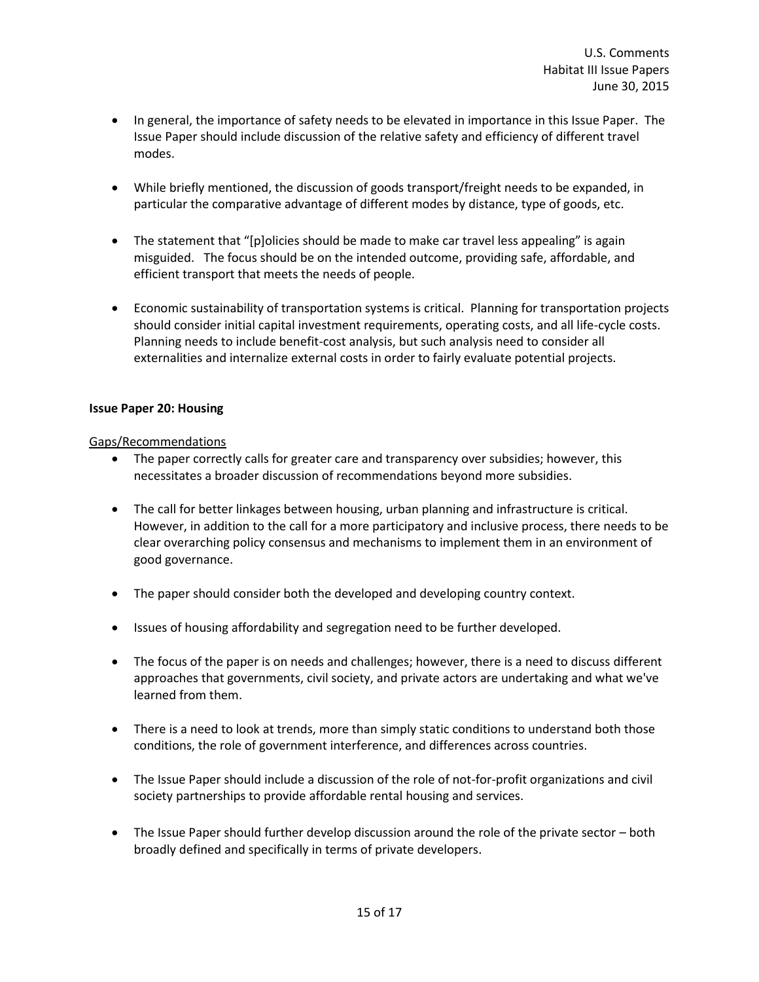- In general, the importance of safety needs to be elevated in importance in this Issue Paper. The Issue Paper should include discussion of the relative safety and efficiency of different travel modes.
- While briefly mentioned, the discussion of goods transport/freight needs to be expanded, in particular the comparative advantage of different modes by distance, type of goods, etc.
- The statement that "[p]olicies should be made to make car travel less appealing" is again misguided. The focus should be on the intended outcome, providing safe, affordable, and efficient transport that meets the needs of people.
- Economic sustainability of transportation systems is critical. Planning for transportation projects should consider initial capital investment requirements, operating costs, and all life-cycle costs. Planning needs to include benefit-cost analysis, but such analysis need to consider all externalities and internalize external costs in order to fairly evaluate potential projects.

## **Issue Paper 20: Housing**

- The paper correctly calls for greater care and transparency over subsidies; however, this necessitates a broader discussion of recommendations beyond more subsidies.
- The call for better linkages between housing, urban planning and infrastructure is critical. However, in addition to the call for a more participatory and inclusive process, there needs to be clear overarching policy consensus and mechanisms to implement them in an environment of good governance.
- The paper should consider both the developed and developing country context.
- Issues of housing affordability and segregation need to be further developed.
- The focus of the paper is on needs and challenges; however, there is a need to discuss different approaches that governments, civil society, and private actors are undertaking and what we've learned from them.
- There is a need to look at trends, more than simply static conditions to understand both those conditions, the role of government interference, and differences across countries.
- The Issue Paper should include a discussion of the role of not-for-profit organizations and civil society partnerships to provide affordable rental housing and services.
- The Issue Paper should further develop discussion around the role of the private sector both broadly defined and specifically in terms of private developers.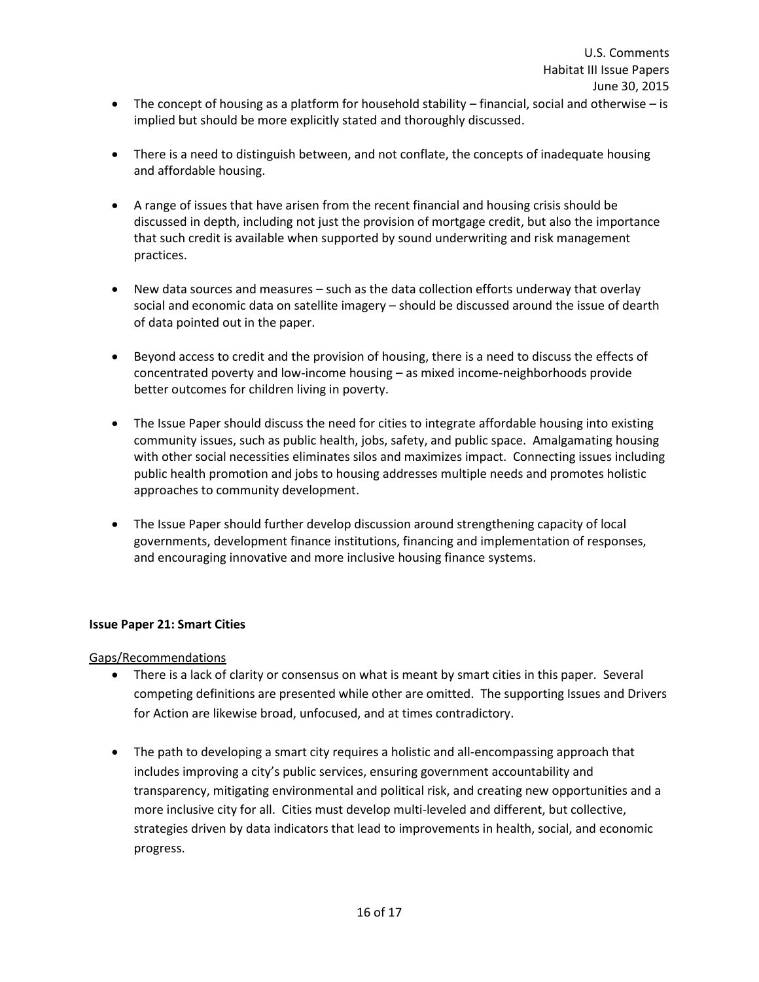- $\bullet$  The concept of housing as a platform for household stability financial, social and otherwise is implied but should be more explicitly stated and thoroughly discussed.
- There is a need to distinguish between, and not conflate, the concepts of inadequate housing and affordable housing.
- A range of issues that have arisen from the recent financial and housing crisis should be discussed in depth, including not just the provision of mortgage credit, but also the importance that such credit is available when supported by sound underwriting and risk management practices.
- New data sources and measures such as the data collection efforts underway that overlay social and economic data on satellite imagery – should be discussed around the issue of dearth of data pointed out in the paper.
- Beyond access to credit and the provision of housing, there is a need to discuss the effects of concentrated poverty and low-income housing – as mixed income-neighborhoods provide better outcomes for children living in poverty.
- The Issue Paper should discuss the need for cities to integrate affordable housing into existing community issues, such as public health, jobs, safety, and public space. Amalgamating housing with other social necessities eliminates silos and maximizes impact. Connecting issues including public health promotion and jobs to housing addresses multiple needs and promotes holistic approaches to community development.
- The Issue Paper should further develop discussion around strengthening capacity of local governments, development finance institutions, financing and implementation of responses, and encouraging innovative and more inclusive housing finance systems.

## **Issue Paper 21: Smart Cities**

- There is a lack of clarity or consensus on what is meant by smart cities in this paper. Several competing definitions are presented while other are omitted. The supporting Issues and Drivers for Action are likewise broad, unfocused, and at times contradictory.
- The path to developing a smart city requires a holistic and all-encompassing approach that includes improving a city's public services, ensuring government accountability and transparency, mitigating environmental and political risk, and creating new opportunities and a more inclusive city for all. Cities must develop multi-leveled and different, but collective, strategies driven by data indicators that lead to improvements in health, social, and economic progress.